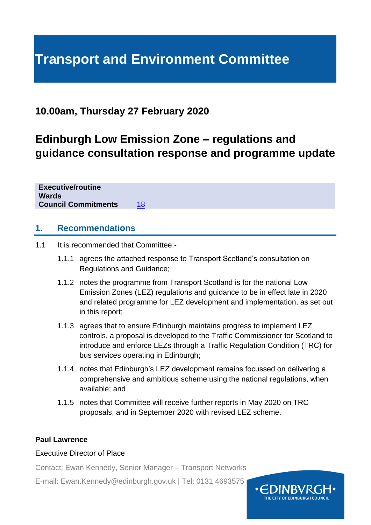# **Transport and Environment Committee**

### **10.00am, Thursday 27 February 2020**

## **Edinburgh Low Emission Zone – regulations and guidance consultation response and programme update**

**Executive/routine Wards Council Commitments** [18](http://www.edinburgh.gov.uk/info/20141/council_commitments)

#### **1. Recommendations**

- 1.1 It is recommended that Committee:-
	- 1.1.1 agrees the attached response to Transport Scotland's consultation on Regulations and Guidance;
	- 1.1.2 notes the programme from Transport Scotland is for the national Low Emission Zones (LEZ) regulations and guidance to be in effect late in 2020 and related programme for LEZ development and implementation, as set out in this report;
	- 1.1.3 agrees that to ensure Edinburgh maintains progress to implement LEZ controls, a proposal is developed to the Traffic Commissioner for Scotland to introduce and enforce LEZs through a Traffic Regulation Condition (TRC) for bus services operating in Edinburgh;
	- 1.1.4 notes that Edinburgh's LEZ development remains focussed on delivering a comprehensive and ambitious scheme using the national regulations, when available; and
	- 1.1.5 notes that Committee will receive further reports in May 2020 on TRC proposals, and in September 2020 with revised LEZ scheme.

#### **Paul Lawrence**

#### Executive Director of Place

Contact: Ewan Kennedy, Senior Manager – Transport Networks

E-mail: Ewan.Kennedy@edinburgh.gov.uk | Tel: 0131 4693575

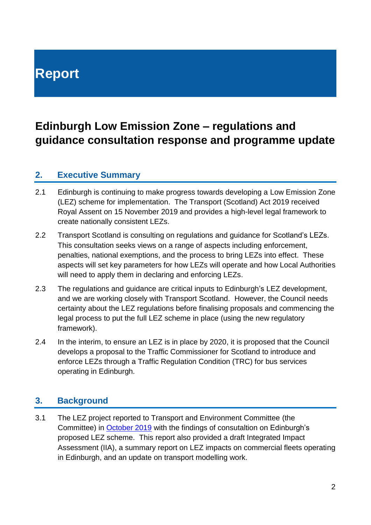# **Report**

## **Edinburgh Low Emission Zone – regulations and guidance consultation response and programme update**

### **2. Executive Summary**

- 2.1 Edinburgh is continuing to make progress towards developing a Low Emission Zone (LEZ) scheme for implementation. The Transport (Scotland) Act 2019 received Royal Assent on 15 November 2019 and provides a high-level legal framework to create nationally consistent LEZs.
- 2.2 Transport Scotland is consulting on regulations and guidance for Scotland's LEZs. This consultation seeks views on a range of aspects including enforcement, penalties, national exemptions, and the process to bring LEZs into effect. These aspects will set key parameters for how LEZs will operate and how Local Authorities will need to apply them in declaring and enforcing LEZs.
- 2.3 The regulations and guidance are critical inputs to Edinburgh's LEZ development, and we are working closely with Transport Scotland. However, the Council needs certainty about the LEZ regulations before finalising proposals and commencing the legal process to put the full LEZ scheme in place (using the new regulatory framework).
- 2.4 In the interim, to ensure an LEZ is in place by 2020, it is proposed that the Council develops a proposal to the Traffic Commissioner for Scotland to introduce and enforce LEZs through a Traffic Regulation Condition (TRC) for bus services operating in Edinburgh.

### **3. Background**

3.1 The LEZ project reported to Transport and Environment Committee (the Committee) in [October 2019](https://democracy.edinburgh.gov.uk/documents/s9502/Item%207.5%20-%20LEZ%20update%20with%20apps.pdf) with the findings of consutaltion on Edinburgh's proposed LEZ scheme. This report also provided a draft Integrated Impact Assessment (IIA), a summary report on LEZ impacts on commercial fleets operating in Edinburgh, and an update on transport modelling work.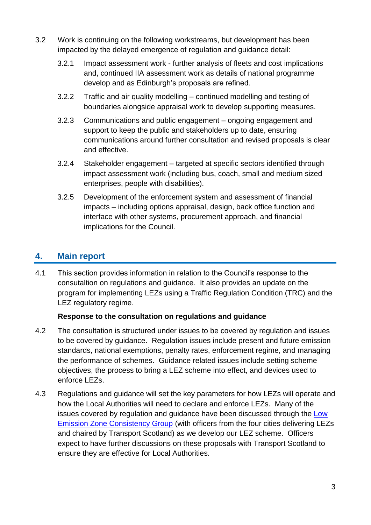- 3.2 Work is continuing on the following workstreams, but development has been impacted by the delayed emergence of regulation and guidance detail:
	- 3.2.1 Impact assessment work further analysis of fleets and cost implications and, continued IIA assessment work as details of national programme develop and as Edinburgh's proposals are refined.
	- 3.2.2 Traffic and air quality modelling continued modelling and testing of boundaries alongside appraisal work to develop supporting measures.
	- 3.2.3 Communications and public engagement ongoing engagement and support to keep the public and stakeholders up to date, ensuring communications around further consultation and revised proposals is clear and effective.
	- 3.2.4 Stakeholder engagement targeted at specific sectors identified through impact assessment work (including bus, coach, small and medium sized enterprises, people with disabilities).
	- 3.2.5 Development of the enforcement system and assessment of financial impacts – including options appraisal, design, back office function and interface with other systems, procurement approach, and financial implications for the Council.

### **4. Main report**

4.1 This section provides information in relation to the Council's response to the consutaltion on regulations and guidance. It also provides an update on the program for implementing LEZs using a Traffic Regulation Condition (TRC) and the LEZ regulatory regime.

#### **Response to the consultation on regulations and guidance**

- 4.2 The consultation is structured under issues to be covered by regulation and issues to be covered by guidance. Regulation issues include present and future emission standards, national exemptions, penalty rates, enforcement regime, and managing the performance of schemes. Guidance related issues include setting scheme objectives, the process to bring a LEZ scheme into effect, and devices used to enforce LEZs.
- 4.3 Regulations and guidance will set the key parameters for how LEZs will operate and how the Local Authorities will need to declare and enforce LEZs. Many of the issues covered by regulation and guidance have been discussed through the [Low](https://www.lowemissionzones.scot/development)  [Emission Zone Consistency Group](https://www.lowemissionzones.scot/development) (with officers from the four cities delivering LEZs and chaired by Transport Scotland) as we develop our LEZ scheme. Officers expect to have further discussions on these proposals with Transport Scotland to ensure they are effective for Local Authorities.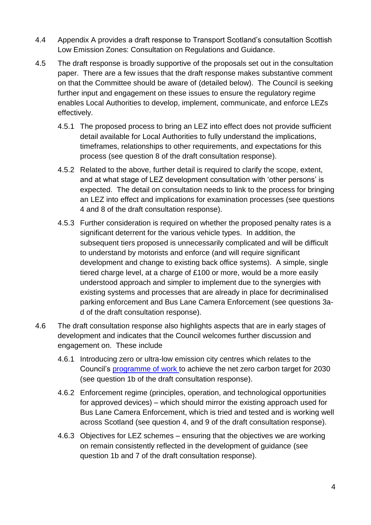- 4.4 Appendix A provides a draft response to Transport Scotland's consutaltion Scottish Low Emission Zones: Consultation on Regulations and Guidance.
- 4.5 The draft response is broadly supportive of the proposals set out in the consultation paper. There are a few issues that the draft response makes substantive comment on that the Committee should be aware of (detailed below). The Council is seeking further input and engagement on these issues to ensure the regulatory regime enables Local Authorities to develop, implement, communicate, and enforce LEZs effectively.
	- 4.5.1 The proposed process to bring an LEZ into effect does not provide sufficient detail available for Local Authorities to fully understand the implications, timeframes, relationships to other requirements, and expectations for this process (see question 8 of the draft consultation response).
	- 4.5.2 Related to the above, further detail is required to clarify the scope, extent, and at what stage of LEZ development consultation with 'other persons' is expected. The detail on consultation needs to link to the process for bringing an LEZ into effect and implications for examination processes (see questions 4 and 8 of the draft consultation response).
	- 4.5.3 Further consideration is required on whether the proposed penalty rates is a significant deterrent for the various vehicle types. In addition, the subsequent tiers proposed is unnecessarily complicated and will be difficult to understand by motorists and enforce (and will require significant development and change to existing back office systems). A simple, single tiered charge level, at a charge of £100 or more, would be a more easily understood approach and simpler to implement due to the synergies with existing systems and processes that are already in place for decriminalised parking enforcement and Bus Lane Camera Enforcement (see questions 3ad of the draft consultation response).
- 4.6 The draft consultation response also highlights aspects that are in early stages of development and indicates that the Council welcomes further discussion and engagement on. These include
	- 4.6.1 Introducing zero or ultra-low emission city centres which relates to the Council's [programme of work](https://democracy.edinburgh.gov.uk/Data/Corporate%20Policy%20and%20Strategy%20Committee/20190514/Agenda/item_74_-_sustainability_approach.pdf) to achieve the net zero carbon target for 2030 (see question 1b of the draft consultation response).
	- 4.6.2 Enforcement regime (principles, operation, and technological opportunities for approved devices) – which should mirror the existing approach used for Bus Lane Camera Enforcement, which is tried and tested and is working well across Scotland (see question 4, and 9 of the draft consultation response).
	- 4.6.3 Objectives for LEZ schemes ensuring that the objectives we are working on remain consistently reflected in the development of guidance (see question 1b and 7 of the draft consultation response).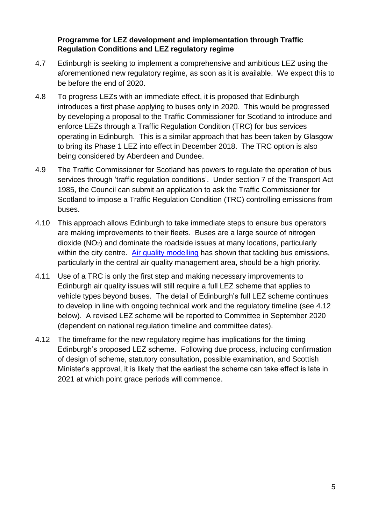#### **Programme for LEZ development and implementation through Traffic Regulation Conditions and LEZ regulatory regime**

- 4.7 Edinburgh is seeking to implement a comprehensive and ambitious LEZ using the aforementioned new regulatory regime, as soon as it is available. We expect this to be before the end of 2020.
- 4.8 To progress LEZs with an immediate effect, it is proposed that Edinburgh introduces a first phase applying to buses only in 2020. This would be progressed by developing a proposal to the Traffic Commissioner for Scotland to introduce and enforce LEZs through a Traffic Regulation Condition (TRC) for bus services operating in Edinburgh. This is a similar approach that has been taken by Glasgow to bring its Phase 1 LEZ into effect in December 2018. The TRC option is also being considered by Aberdeen and Dundee.
- 4.9 The Traffic Commissioner for Scotland has powers to regulate the operation of bus services through 'traffic regulation conditions'. Under section 7 of the Transport Act 1985, the Council can submit an application to ask the Traffic Commissioner for Scotland to impose a Traffic Regulation Condition (TRC) controlling emissions from buses.
- 4.10 This approach allows Edinburgh to take immediate steps to ensure bus operators are making improvements to their fleets. Buses are a large source of nitrogen dioxide (NO2) and dominate the roadside issues at many locations, particularly within the city centre. [Air quality modelling](https://www.connectingedinburgh.com/downloads/file/3/air-quality-evidence-report-edinburgh) has shown that tackling bus emissions, particularly in the central air quality management area, should be a high priority.
- 4.11 Use of a TRC is only the first step and making necessary improvements to Edinburgh air quality issues will still require a full LEZ scheme that applies to vehicle types beyond buses. The detail of Edinburgh's full LEZ scheme continues to develop in line with ongoing technical work and the regulatory timeline (see [4.12](#page-4-0) below). A revised LEZ scheme will be reported to Committee in September 2020 (dependent on national regulation timeline and committee dates).
- <span id="page-4-0"></span>4.12 The timeframe for the new regulatory regime has implications for the timing Edinburgh's proposed LEZ scheme. Following due process, including confirmation of design of scheme, statutory consultation, possible examination, and Scottish Minister's approval, it is likely that the earliest the scheme can take effect is late in 2021 at which point grace periods will commence.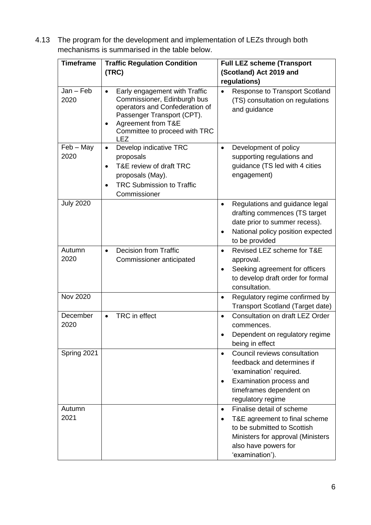4.13 The program for the development and implementation of LEZs through both mechanisms is summarised in the table below.

| <b>Timeframe</b>    | <b>Traffic Regulation Condition</b><br>(TRC)                                                                                                                                                      | <b>Full LEZ scheme (Transport</b><br>(Scotland) Act 2019 and<br>regulations)                                                                                                                        |
|---------------------|---------------------------------------------------------------------------------------------------------------------------------------------------------------------------------------------------|-----------------------------------------------------------------------------------------------------------------------------------------------------------------------------------------------------|
| $Jan - Feb$<br>2020 | Early engagement with Traffic<br>Commissioner, Edinburgh bus<br>operators and Confederation of<br>Passenger Transport (CPT).<br>Agreement from T&E<br>Committee to proceed with TRC<br><b>LEZ</b> | Response to Transport Scotland<br>$\bullet$<br>(TS) consultation on regulations<br>and guidance                                                                                                     |
| $Feb - May$<br>2020 | Develop indicative TRC<br>$\bullet$<br>proposals<br>T&E review of draft TRC<br>$\bullet$<br>proposals (May).<br><b>TRC Submission to Traffic</b><br>Commissioner                                  | Development of policy<br>$\bullet$<br>supporting regulations and<br>quidance (TS led with 4 cities<br>engagement)                                                                                   |
| <b>July 2020</b>    |                                                                                                                                                                                                   | Regulations and guidance legal<br>$\bullet$<br>drafting commences (TS target<br>date prior to summer recess).<br>National policy position expected<br>$\bullet$<br>to be provided                   |
| Autumn<br>2020      | <b>Decision from Traffic</b><br>$\bullet$<br>Commissioner anticipated                                                                                                                             | Revised LEZ scheme for T&E<br>$\bullet$<br>approval.<br>Seeking agreement for officers<br>$\bullet$<br>to develop draft order for formal<br>consultation.                                           |
| <b>Nov 2020</b>     |                                                                                                                                                                                                   | Regulatory regime confirmed by<br>٠<br><b>Transport Scotland (Target date)</b>                                                                                                                      |
| December<br>2020    | TRC in effect<br>$\bullet$                                                                                                                                                                        | Consultation on draft LEZ Order<br>$\bullet$<br>commences.<br>Dependent on regulatory regime<br>being in effect                                                                                     |
| Spring 2021         |                                                                                                                                                                                                   | Council reviews consultation<br>$\bullet$<br>feedback and determines if<br>'examination' required.<br>Examination process and<br>٠<br>timeframes dependent on<br>regulatory regime                  |
| Autumn<br>2021      |                                                                                                                                                                                                   | Finalise detail of scheme<br>$\bullet$<br>T&E agreement to final scheme<br>$\bullet$<br>to be submitted to Scottish<br>Ministers for approval (Ministers<br>also have powers for<br>'examination'). |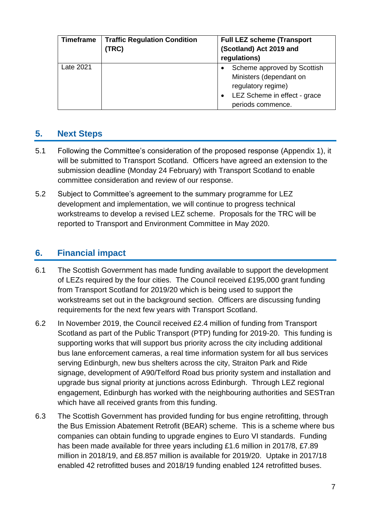| <b>Timeframe</b> | <b>Traffic Regulation Condition</b><br>(TRC) | <b>Full LEZ scheme (Transport</b><br>(Scotland) Act 2019 and<br>regulations)                                                      |
|------------------|----------------------------------------------|-----------------------------------------------------------------------------------------------------------------------------------|
| Late 2021        |                                              | Scheme approved by Scottish<br>Ministers (dependant on<br>regulatory regime)<br>LEZ Scheme in effect - grace<br>periods commence. |

### **5. Next Steps**

- 5.1 Following the Committee's consideration of the proposed response (Appendix 1), it will be submitted to Transport Scotland. Officers have agreed an extension to the submission deadline (Monday 24 February) with Transport Scotland to enable committee consideration and review of our response.
- 5.2 Subject to Committee's agreement to the summary programme for LEZ development and implementation, we will continue to progress technical workstreams to develop a revised LEZ scheme. Proposals for the TRC will be reported to Transport and Environment Committee in May 2020.

### **6. Financial impact**

- 6.1 The Scottish Government has made funding available to support the development of LEZs required by the four cities. The Council received £195,000 grant funding from Transport Scotland for 2019/20 which is being used to support the workstreams set out in the background section. Officers are discussing funding requirements for the next few years with Transport Scotland.
- 6.2 In November 2019, the Council received £2.4 million of funding from Transport Scotland as part of the Public Transport (PTP) funding for 2019-20. This funding is supporting works that will support bus priority across the city including additional bus lane enforcement cameras, a real time information system for all bus services serving Edinburgh, new bus shelters across the city, Straiton Park and Ride signage, development of A90/Telford Road bus priority system and installation and upgrade bus signal priority at junctions across Edinburgh. Through LEZ regional engagement, Edinburgh has worked with the neighbouring authorities and SESTran which have all received grants from this funding.
- 6.3 The Scottish Government has provided funding for bus engine retrofitting, through the Bus Emission Abatement Retrofit (BEAR) scheme. This is a scheme where bus companies can obtain funding to upgrade engines to Euro VI standards. Funding has been made available for three years including £1.6 million in 2017/8, £7.89 million in 2018/19, and £8.857 million is available for 2019/20. Uptake in 2017/18 enabled 42 retrofitted buses and 2018/19 funding enabled 124 retrofitted buses.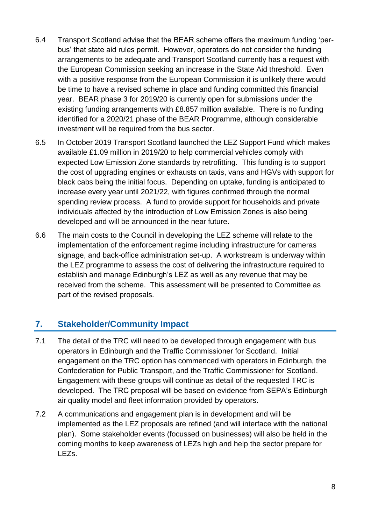- 6.4 Transport Scotland advise that the BEAR scheme offers the maximum funding 'perbus' that state aid rules permit. However, operators do not consider the funding arrangements to be adequate and Transport Scotland currently has a request with the European Commission seeking an increase in the State Aid threshold. Even with a positive response from the European Commission it is unlikely there would be time to have a revised scheme in place and funding committed this financial year. BEAR phase 3 for 2019/20 is currently open for submissions under the existing funding arrangements with £8.857 million available. There is no funding identified for a 2020/21 phase of the BEAR Programme, although considerable investment will be required from the bus sector.
- 6.5 In October 2019 Transport Scotland launched the LEZ Support Fund which makes available £1.09 million in 2019/20 to help commercial vehicles comply with expected Low Emission Zone standards by retrofitting. This funding is to support the cost of upgrading engines or exhausts on taxis, vans and HGVs with support for black cabs being the initial focus. Depending on uptake, funding is anticipated to increase every year until 2021/22, with figures confirmed through the normal spending review process. A fund to provide support for households and private individuals affected by the introduction of Low Emission Zones is also being developed and will be announced in the near future.
- 6.6 The main costs to the Council in developing the LEZ scheme will relate to the implementation of the enforcement regime including infrastructure for cameras signage, and back-office administration set-up. A workstream is underway within the LEZ programme to assess the cost of delivering the infrastructure required to establish and manage Edinburgh's LEZ as well as any revenue that may be received from the scheme. This assessment will be presented to Committee as part of the revised proposals.

### **7. Stakeholder/Community Impact**

- 7.1 The detail of the TRC will need to be developed through engagement with bus operators in Edinburgh and the Traffic Commissioner for Scotland. Initial engagement on the TRC option has commenced with operators in Edinburgh, the Confederation for Public Transport, and the Traffic Commissioner for Scotland. Engagement with these groups will continue as detail of the requested TRC is developed. The TRC proposal will be based on evidence from SEPA's Edinburgh air quality model and fleet information provided by operators.
- 7.2 A communications and engagement plan is in development and will be implemented as the LEZ proposals are refined (and will interface with the national plan). Some stakeholder events (focussed on businesses) will also be held in the coming months to keep awareness of LEZs high and help the sector prepare for LEZs.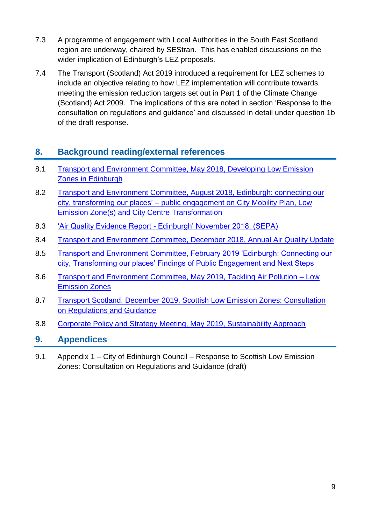- 7.3 A programme of engagement with Local Authorities in the South East Scotland region are underway, chaired by SEStran. This has enabled discussions on the wider implication of Edinburgh's LEZ proposals.
- 7.4 The Transport (Scotland) Act 2019 introduced a requirement for LEZ schemes to include an objective relating to how LEZ implementation will contribute towards meeting the emission reduction targets set out in Part 1 of the Climate Change (Scotland) Act 2009. The implications of this are noted in section 'Response to the consultation on regulations and guidance' and discussed in detail under question 1b of the draft response.

### **8. Background reading/external references**

- 8.1 [Transport and Environment Committee, May 2018, Developing Low Emission](https://democracy.edinburgh.gov.uk/Data/Transport%20and%20Environment%20Committee/20180517/Agenda/item_710_-_developing_low_emission_zones_in_edinburgh.pdf)  [Zones in Edinburgh](https://democracy.edinburgh.gov.uk/Data/Transport%20and%20Environment%20Committee/20180517/Agenda/item_710_-_developing_low_emission_zones_in_edinburgh.pdf)
- 8.2 Transport and Environment Committee, August 2018, Edinburgh: connecting our city, transforming our places' – [public engagement on City Mobility Plan, Low](https://democracy.edinburgh.gov.uk/Data/Transport%20and%20Environment%20Committee/20180809/Agenda/item_78_-_edinburgh_connecting_our_city_transforming_our_places_-_public_engagement_on_city_mobility_plan_low_emissi.pdf)  [Emission Zone\(s\) and City Centre Transformation](https://democracy.edinburgh.gov.uk/Data/Transport%20and%20Environment%20Committee/20180809/Agenda/item_78_-_edinburgh_connecting_our_city_transforming_our_places_-_public_engagement_on_city_mobility_plan_low_emissi.pdf)
- 8.3 'Air Quality Evidence Report [Edinburgh' November 2018, \(SEPA\)](https://www.connectingedinburgh.com/downloads/file/3/air-quality-evidence-report-edinburgh)
- 8.4 [Transport and Environment Committee, December 2018, Annual Air Quality Update](https://democracy.edinburgh.gov.uk/Data/Transport%20and%20Environment%20Committee/20181206/Agenda/item_77_-_annual_air_quality_update.pdf)
- 8.5 [Transport and Environment Committee, February 2019 'Edinburgh: Connecting our](https://democracy.edinburgh.gov.uk/Data/Transport%20and%20Environment%20Committee/20190228/Agenda/$item_72_-_edinburgh_connecting_our_city_transforming_our_places_findings_of_public_engagement_and_next_steps.xls.pdf)  [city, Transforming our places' Findings of Public Engagement and Next Steps](https://democracy.edinburgh.gov.uk/Data/Transport%20and%20Environment%20Committee/20190228/Agenda/$item_72_-_edinburgh_connecting_our_city_transforming_our_places_findings_of_public_engagement_and_next_steps.xls.pdf)
- 8.6 [Transport and Environment Committee, May 2019, Tackling Air Pollution –](https://democracy.edinburgh.gov.uk/Data/Transport%20and%20Environment%20Committee/20190516/Agenda/item_72_-_tackling_air_pollution_-_low_emission_zones.pdf) Low [Emission Zones](https://democracy.edinburgh.gov.uk/Data/Transport%20and%20Environment%20Committee/20190516/Agenda/item_72_-_tackling_air_pollution_-_low_emission_zones.pdf)
- 8.7 Transport [Scotland, December 2019, Scottish Low Emission Zones: Consultation](https://www.transport.gov.scot/media/46548/scotland-s-low-emission-zones-consultation-on-regulations-and-guidance.pdf)  [on Regulations and Guidance](https://www.transport.gov.scot/media/46548/scotland-s-low-emission-zones-consultation-on-regulations-and-guidance.pdf)
- 8.8 [Corporate Policy and Strategy Meeting, May 2019, Sustainability Approach](https://democracy.edinburgh.gov.uk/Data/Corporate%20Policy%20and%20Strategy%20Committee/20190514/Agenda/item_74_-_sustainability_approach.pdf)

### **9. Appendices**

9.1 Appendix 1 – City of Edinburgh Council – Response to Scottish Low Emission Zones: Consultation on Regulations and Guidance (draft)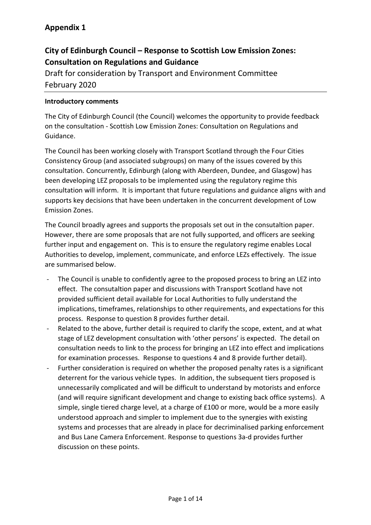### **City of Edinburgh Council – Response to Scottish Low Emission Zones: Consultation on Regulations and Guidance**

Draft for consideration by Transport and Environment Committee February 2020

#### **Introductory comments**

The City of Edinburgh Council (the Council) welcomes the opportunity to provide feedback on the consultation - Scottish Low Emission Zones: Consultation on Regulations and Guidance.

The Council has been working closely with Transport Scotland through the Four Cities Consistency Group (and associated subgroups) on many of the issues covered by this consultation. Concurrently, Edinburgh (along with Aberdeen, Dundee, and Glasgow) has been developing LEZ proposals to be implemented using the regulatory regime this consultation will inform. It is important that future regulations and guidance aligns with and supports key decisions that have been undertaken in the concurrent development of Low Emission Zones.

The Council broadly agrees and supports the proposals set out in the consutaltion paper. However, there are some proposals that are not fully supported, and officers are seeking further input and engagement on. This is to ensure the regulatory regime enables Local Authorities to develop, implement, communicate, and enforce LEZs effectively. The issue are summarised below.

- The Council is unable to confidently agree to the proposed process to bring an LEZ into effect. The consutaltion paper and discussions with Transport Scotland have not provided sufficient detail available for Local Authorities to fully understand the implications, timeframes, relationships to other requirements, and expectations for this process. Response to question 8 provides further detail.
- Related to the above, further detail is required to clarify the scope, extent, and at what stage of LEZ development consultation with 'other persons' is expected. The detail on consultation needs to link to the process for bringing an LEZ into effect and implications for examination processes. Response to questions 4 and 8 provide further detail).
- Further consideration is required on whether the proposed penalty rates is a significant deterrent for the various vehicle types. In addition, the subsequent tiers proposed is unnecessarily complicated and will be difficult to understand by motorists and enforce (and will require significant development and change to existing back office systems). A simple, single tiered charge level, at a charge of £100 or more, would be a more easily understood approach and simpler to implement due to the synergies with existing systems and processes that are already in place for decriminalised parking enforcement and Bus Lane Camera Enforcement. Response to questions 3a-d provides further discussion on these points.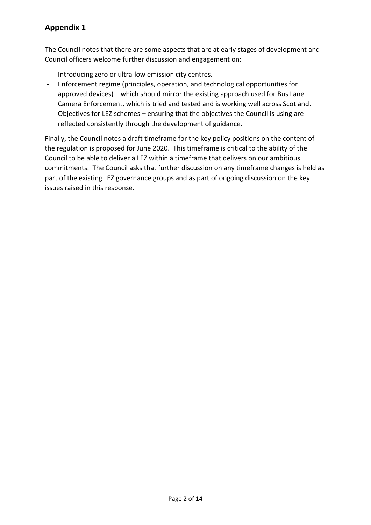The Council notes that there are some aspects that are at early stages of development and Council officers welcome further discussion and engagement on:

- Introducing zero or ultra-low emission city centres.
- Enforcement regime (principles, operation, and technological opportunities for approved devices) – which should mirror the existing approach used for Bus Lane Camera Enforcement, which is tried and tested and is working well across Scotland.
- Objectives for LEZ schemes ensuring that the objectives the Council is using are reflected consistently through the development of guidance.

Finally, the Council notes a draft timeframe for the key policy positions on the content of the regulation is proposed for June 2020. This timeframe is critical to the ability of the Council to be able to deliver a LEZ within a timeframe that delivers on our ambitious commitments. The Council asks that further discussion on any timeframe changes is held as part of the existing LEZ governance groups and as part of ongoing discussion on the key issues raised in this response.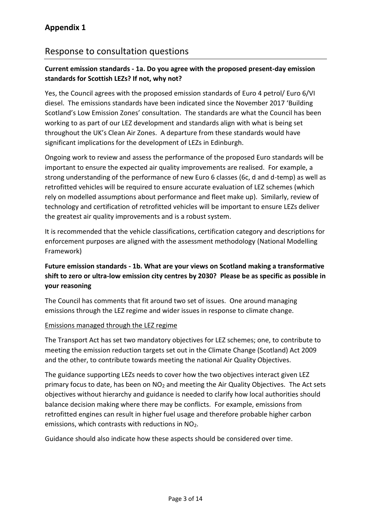### Response to consultation questions

#### **Current emission standards - 1a. Do you agree with the proposed present-day emission standards for Scottish LEZs? If not, why not?**

Yes, the Council agrees with the proposed emission standards of Euro 4 petrol/ Euro 6/VI diesel. The emissions standards have been indicated since the November 2017 'Building Scotland's Low Emission Zones' consultation. The standards are what the Council has been working to as part of our LEZ development and standards align with what is being set throughout the UK's Clean Air Zones. A departure from these standards would have significant implications for the development of LEZs in Edinburgh.

Ongoing work to review and assess the performance of the proposed Euro standards will be important to ensure the expected air quality improvements are realised. For example, a strong understanding of the performance of new Euro 6 classes (6c, d and d-temp) as well as retrofitted vehicles will be required to ensure accurate evaluation of LEZ schemes (which rely on modelled assumptions about performance and fleet make up). Similarly, review of technology and certification of retrofitted vehicles will be important to ensure LEZs deliver the greatest air quality improvements and is a robust system.

It is recommended that the vehicle classifications, certification category and descriptions for enforcement purposes are aligned with the assessment methodology (National Modelling Framework)

#### **Future emission standards - 1b. What are your views on Scotland making a transformative shift to zero or ultra-low emission city centres by 2030? Please be as specific as possible in your reasoning**

The Council has comments that fit around two set of issues. One around managing emissions through the LEZ regime and wider issues in response to climate change.

#### Emissions managed through the LEZ regime

The Transport Act has set two mandatory objectives for LEZ schemes; one, to contribute to meeting the emission reduction targets set out in the Climate Change (Scotland) Act 2009 and the other, to contribute towards meeting the national Air Quality Objectives.

The guidance supporting LEZs needs to cover how the two objectives interact given LEZ primary focus to date, has been on NO<sub>2</sub> and meeting the Air Quality Objectives. The Act sets objectives without hierarchy and guidance is needed to clarify how local authorities should balance decision making where there may be conflicts. For example, emissions from retrofitted engines can result in higher fuel usage and therefore probable higher carbon emissions, which contrasts with reductions in NO2.

Guidance should also indicate how these aspects should be considered over time.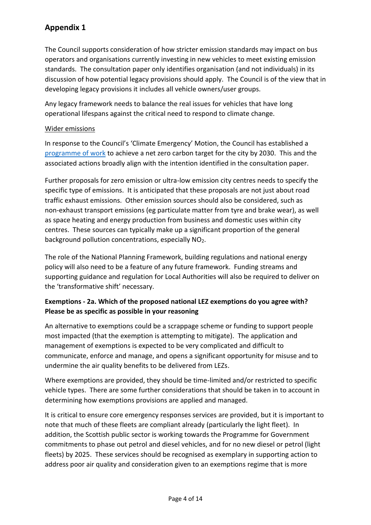The Council supports consideration of how stricter emission standards may impact on bus operators and organisations currently investing in new vehicles to meet existing emission standards. The consultation paper only identifies organisation (and not individuals) in its discussion of how potential legacy provisions should apply. The Council is of the view that in developing legacy provisions it includes all vehicle owners/user groups.

Any legacy framework needs to balance the real issues for vehicles that have long operational lifespans against the critical need to respond to climate change.

#### Wider emissions

In response to the Council's 'Climate Emergency' Motion, the Council has established a [programme of work](https://democracy.edinburgh.gov.uk/Data/Corporate%20Policy%20and%20Strategy%20Committee/20190514/Agenda/item_74_-_sustainability_approach.pdf) to achieve a net zero carbon target for the city by 2030. This and the associated actions broadly align with the intention identified in the consultation paper.

Further proposals for zero emission or ultra-low emission city centres needs to specify the specific type of emissions. It is anticipated that these proposals are not just about road traffic exhaust emissions. Other emission sources should also be considered, such as non-exhaust transport emissions (eg particulate matter from tyre and brake wear), as well as space heating and energy production from business and domestic uses within city centres. These sources can typically make up a significant proportion of the general background pollution concentrations, especially NO<sub>2</sub>.

The role of the National Planning Framework, building regulations and national energy policy will also need to be a feature of any future framework. Funding streams and supporting guidance and regulation for Local Authorities will also be required to deliver on the 'transformative shift' necessary.

#### **Exemptions - 2a. Which of the proposed national LEZ exemptions do you agree with? Please be as specific as possible in your reasoning**

An alternative to exemptions could be a scrappage scheme or funding to support people most impacted (that the exemption is attempting to mitigate). The application and management of exemptions is expected to be very complicated and difficult to communicate, enforce and manage, and opens a significant opportunity for misuse and to undermine the air quality benefits to be delivered from LEZs.

Where exemptions are provided, they should be time-limited and/or restricted to specific vehicle types. There are some further considerations that should be taken in to account in determining how exemptions provisions are applied and managed.

It is critical to ensure core emergency responses services are provided, but it is important to note that much of these fleets are compliant already (particularly the light fleet). In addition, the Scottish public sector is working towards the Programme for Government commitments to phase out petrol and diesel vehicles, and for no new diesel or petrol (light fleets) by 2025. These services should be recognised as exemplary in supporting action to address poor air quality and consideration given to an exemptions regime that is more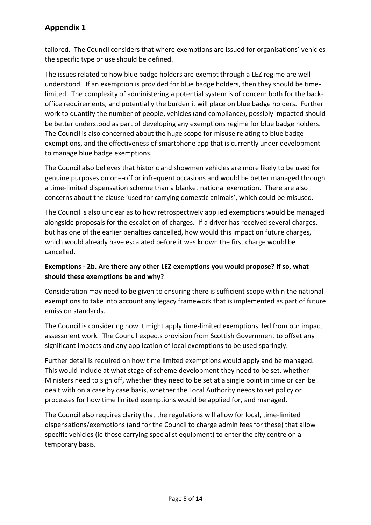tailored. The Council considers that where exemptions are issued for organisations' vehicles the specific type or use should be defined.

The issues related to how blue badge holders are exempt through a LEZ regime are well understood. If an exemption is provided for blue badge holders, then they should be timelimited. The complexity of administering a potential system is of concern both for the backoffice requirements, and potentially the burden it will place on blue badge holders. Further work to quantify the number of people, vehicles (and compliance), possibly impacted should be better understood as part of developing any exemptions regime for blue badge holders. The Council is also concerned about the huge scope for misuse relating to blue badge exemptions, and the effectiveness of smartphone app that is currently under development to manage blue badge exemptions.

The Council also believes that historic and showmen vehicles are more likely to be used for genuine purposes on one-off or infrequent occasions and would be better managed through a time-limited dispensation scheme than a blanket national exemption. There are also concerns about the clause 'used for carrying domestic animals', which could be misused.

The Council is also unclear as to how retrospectively applied exemptions would be managed alongside proposals for the escalation of charges. If a driver has received several charges, but has one of the earlier penalties cancelled, how would this impact on future charges, which would already have escalated before it was known the first charge would be cancelled.

#### **Exemptions - 2b. Are there any other LEZ exemptions you would propose? If so, what should these exemptions be and why?**

Consideration may need to be given to ensuring there is sufficient scope within the national exemptions to take into account any legacy framework that is implemented as part of future emission standards.

The Council is considering how it might apply time-limited exemptions, led from our impact assessment work. The Council expects provision from Scottish Government to offset any significant impacts and any application of local exemptions to be used sparingly.

Further detail is required on how time limited exemptions would apply and be managed. This would include at what stage of scheme development they need to be set, whether Ministers need to sign off, whether they need to be set at a single point in time or can be dealt with on a case by case basis, whether the Local Authority needs to set policy or processes for how time limited exemptions would be applied for, and managed.

The Council also requires clarity that the regulations will allow for local, time-limited dispensations/exemptions (and for the Council to charge admin fees for these) that allow specific vehicles (ie those carrying specialist equipment) to enter the city centre on a temporary basis.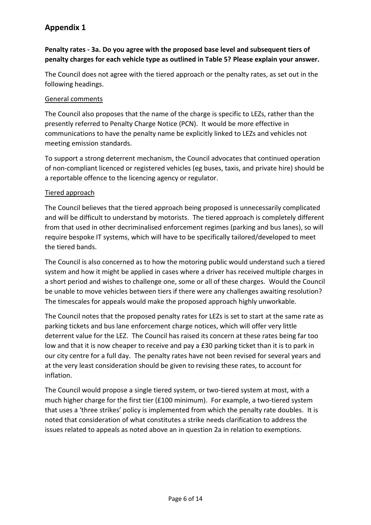#### **Penalty rates - 3a. Do you agree with the proposed base level and subsequent tiers of penalty charges for each vehicle type as outlined in Table 5? Please explain your answer.**

The Council does not agree with the tiered approach or the penalty rates, as set out in the following headings.

#### General comments

The Council also proposes that the name of the charge is specific to LEZs, rather than the presently referred to Penalty Charge Notice (PCN). It would be more effective in communications to have the penalty name be explicitly linked to LEZs and vehicles not meeting emission standards.

To support a strong deterrent mechanism, the Council advocates that continued operation of non-compliant licenced or registered vehicles (eg buses, taxis, and private hire) should be a reportable offence to the licencing agency or regulator.

#### Tiered approach

The Council believes that the tiered approach being proposed is unnecessarily complicated and will be difficult to understand by motorists. The tiered approach is completely different from that used in other decriminalised enforcement regimes (parking and bus lanes), so will require bespoke IT systems, which will have to be specifically tailored/developed to meet the tiered bands.

The Council is also concerned as to how the motoring public would understand such a tiered system and how it might be applied in cases where a driver has received multiple charges in a short period and wishes to challenge one, some or all of these charges. Would the Council be unable to move vehicles between tiers if there were any challenges awaiting resolution? The timescales for appeals would make the proposed approach highly unworkable.

The Council notes that the proposed penalty rates for LEZs is set to start at the same rate as parking tickets and bus lane enforcement charge notices, which will offer very little deterrent value for the LEZ. The Council has raised its concern at these rates being far too low and that it is now cheaper to receive and pay a £30 parking ticket than it is to park in our city centre for a full day. The penalty rates have not been revised for several years and at the very least consideration should be given to revising these rates, to account for inflation.

The Council would propose a single tiered system, or two-tiered system at most, with a much higher charge for the first tier (£100 minimum). For example, a two-tiered system that uses a 'three strikes' policy is implemented from which the penalty rate doubles. It is noted that consideration of what constitutes a strike needs clarification to address the issues related to appeals as noted above an in question 2a in relation to exemptions.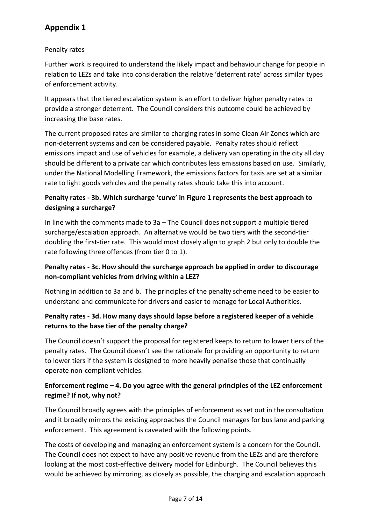#### Penalty rates

Further work is required to understand the likely impact and behaviour change for people in relation to LEZs and take into consideration the relative 'deterrent rate' across similar types of enforcement activity.

It appears that the tiered escalation system is an effort to deliver higher penalty rates to provide a stronger deterrent. The Council considers this outcome could be achieved by increasing the base rates.

The current proposed rates are similar to charging rates in some Clean Air Zones which are non-deterrent systems and can be considered payable. Penalty rates should reflect emissions impact and use of vehicles for example, a delivery van operating in the city all day should be different to a private car which contributes less emissions based on use. Similarly, under the National Modelling Framework, the emissions factors for taxis are set at a similar rate to light goods vehicles and the penalty rates should take this into account.

#### **Penalty rates - 3b. Which surcharge 'curve' in Figure 1 represents the best approach to designing a surcharge?**

In line with the comments made to 3a – The Council does not support a multiple tiered surcharge/escalation approach. An alternative would be two tiers with the second-tier doubling the first-tier rate. This would most closely align to graph 2 but only to double the rate following three offences (from tier 0 to 1).

#### **Penalty rates - 3c. How should the surcharge approach be applied in order to discourage non-compliant vehicles from driving within a LEZ?**

Nothing in addition to 3a and b. The principles of the penalty scheme need to be easier to understand and communicate for drivers and easier to manage for Local Authorities.

#### **Penalty rates - 3d. How many days should lapse before a registered keeper of a vehicle returns to the base tier of the penalty charge?**

The Council doesn't support the proposal for registered keeps to return to lower tiers of the penalty rates. The Council doesn't see the rationale for providing an opportunity to return to lower tiers if the system is designed to more heavily penalise those that continually operate non-compliant vehicles.

#### **Enforcement regime – 4. Do you agree with the general principles of the LEZ enforcement regime? If not, why not?**

The Council broadly agrees with the principles of enforcement as set out in the consultation and it broadly mirrors the existing approaches the Council manages for bus lane and parking enforcement. This agreement is caveated with the following points.

The costs of developing and managing an enforcement system is a concern for the Council. The Council does not expect to have any positive revenue from the LEZs and are therefore looking at the most cost-effective delivery model for Edinburgh. The Council believes this would be achieved by mirroring, as closely as possible, the charging and escalation approach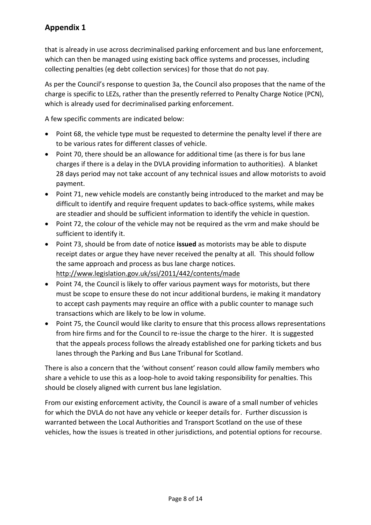that is already in use across decriminalised parking enforcement and bus lane enforcement, which can then be managed using existing back office systems and processes, including collecting penalties (eg debt collection services) for those that do not pay.

As per the Council's response to question 3a, the Council also proposes that the name of the charge is specific to LEZs, rather than the presently referred to Penalty Charge Notice (PCN), which is already used for decriminalised parking enforcement.

A few specific comments are indicated below:

- Point 68, the vehicle type must be requested to determine the penalty level if there are to be various rates for different classes of vehicle.
- Point 70, there should be an allowance for additional time (as there is for bus lane charges if there is a delay in the DVLA providing information to authorities). A blanket 28 days period may not take account of any technical issues and allow motorists to avoid payment.
- Point 71, new vehicle models are constantly being introduced to the market and may be difficult to identify and require frequent updates to back-office systems, while makes are steadier and should be sufficient information to identify the vehicle in question.
- Point 72, the colour of the vehicle may not be required as the vrm and make should be sufficient to identify it.
- Point 73, should be from date of notice **issued** as motorists may be able to dispute receipt dates or argue they have never received the penalty at all. This should follow the same approach and process as bus lane charge notices. <http://www.legislation.gov.uk/ssi/2011/442/contents/made>
- Point 74, the Council is likely to offer various payment ways for motorists, but there must be scope to ensure these do not incur additional burdens, ie making it mandatory to accept cash payments may require an office with a public counter to manage such transactions which are likely to be low in volume.
- Point 75, the Council would like clarity to ensure that this process allows representations from hire firms and for the Council to re-issue the charge to the hirer. It is suggested that the appeals process follows the already established one for parking tickets and bus lanes through the Parking and Bus Lane Tribunal for Scotland.

There is also a concern that the 'without consent' reason could allow family members who share a vehicle to use this as a loop-hole to avoid taking responsibility for penalties. This should be closely aligned with current bus lane legislation.

From our existing enforcement activity, the Council is aware of a small number of vehicles for which the DVLA do not have any vehicle or keeper details for. Further discussion is warranted between the Local Authorities and Transport Scotland on the use of these vehicles, how the issues is treated in other jurisdictions, and potential options for recourse.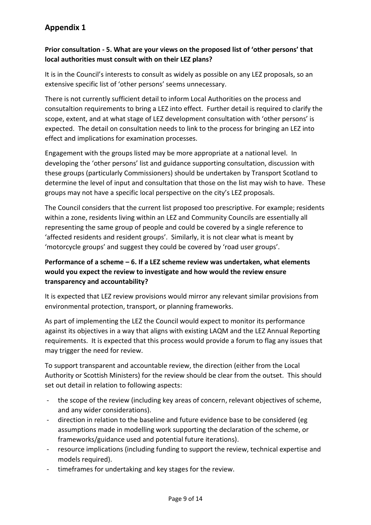#### **Prior consultation - 5. What are your views on the proposed list of 'other persons' that local authorities must consult with on their LEZ plans?**

It is in the Council's interests to consult as widely as possible on any LEZ proposals, so an extensive specific list of 'other persons' seems unnecessary.

There is not currently sufficient detail to inform Local Authorities on the process and consutaltion requirements to bring a LEZ into effect. Further detail is required to clarify the scope, extent, and at what stage of LEZ development consultation with 'other persons' is expected. The detail on consultation needs to link to the process for bringing an LEZ into effect and implications for examination processes.

Engagement with the groups listed may be more appropriate at a national level. In developing the 'other persons' list and guidance supporting consultation, discussion with these groups (particularly Commissioners) should be undertaken by Transport Scotland to determine the level of input and consultation that those on the list may wish to have. These groups may not have a specific local perspective on the city's LEZ proposals.

The Council considers that the current list proposed too prescriptive. For example; residents within a zone, residents living within an LEZ and Community Councils are essentially all representing the same group of people and could be covered by a single reference to 'affected residents and resident groups'. Similarly, it is not clear what is meant by 'motorcycle groups' and suggest they could be covered by 'road user groups'.

#### **Performance of a scheme – 6. If a LEZ scheme review was undertaken, what elements would you expect the review to investigate and how would the review ensure transparency and accountability?**

It is expected that LEZ review provisions would mirror any relevant similar provisions from environmental protection, transport, or planning frameworks.

As part of implementing the LEZ the Council would expect to monitor its performance against its objectives in a way that aligns with existing LAQM and the LEZ Annual Reporting requirements. It is expected that this process would provide a forum to flag any issues that may trigger the need for review.

To support transparent and accountable review, the direction (either from the Local Authority or Scottish Ministers) for the review should be clear from the outset. This should set out detail in relation to following aspects:

- the scope of the review (including key areas of concern, relevant objectives of scheme, and any wider considerations).
- direction in relation to the baseline and future evidence base to be considered (eg assumptions made in modelling work supporting the declaration of the scheme, or frameworks/guidance used and potential future iterations).
- resource implications (including funding to support the review, technical expertise and models required).
- timeframes for undertaking and key stages for the review.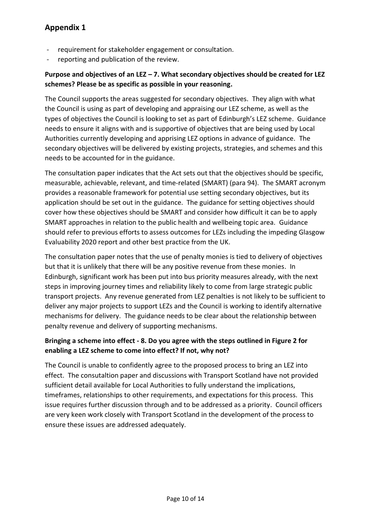- requirement for stakeholder engagement or consultation.
- reporting and publication of the review.

#### **Purpose and objectives of an LEZ – 7. What secondary objectives should be created for LEZ schemes? Please be as specific as possible in your reasoning.**

The Council supports the areas suggested for secondary objectives. They align with what the Council is using as part of developing and appraising our LEZ scheme, as well as the types of objectives the Council is looking to set as part of Edinburgh's LEZ scheme. Guidance needs to ensure it aligns with and is supportive of objectives that are being used by Local Authorities currently developing and apprising LEZ options in advance of guidance. The secondary objectives will be delivered by existing projects, strategies, and schemes and this needs to be accounted for in the guidance.

The consultation paper indicates that the Act sets out that the objectives should be specific, measurable, achievable, relevant, and time-related (SMART) (para 94). The SMART acronym provides a reasonable framework for potential use setting secondary objectives, but its application should be set out in the guidance. The guidance for setting objectives should cover how these objectives should be SMART and consider how difficult it can be to apply SMART approaches in relation to the public health and wellbeing topic area. Guidance should refer to previous efforts to assess outcomes for LEZs including the impeding Glasgow Evaluability 2020 report and other best practice from the UK.

The consultation paper notes that the use of penalty monies is tied to delivery of objectives but that it is unlikely that there will be any positive revenue from these monies. In Edinburgh, significant work has been put into bus priority measures already, with the next steps in improving journey times and reliability likely to come from large strategic public transport projects. Any revenue generated from LEZ penalties is not likely to be sufficient to deliver any major projects to support LEZs and the Council is working to identify alternative mechanisms for delivery. The guidance needs to be clear about the relationship between penalty revenue and delivery of supporting mechanisms.

#### **Bringing a scheme into effect - 8. Do you agree with the steps outlined in Figure 2 for enabling a LEZ scheme to come into effect? If not, why not?**

The Council is unable to confidently agree to the proposed process to bring an LEZ into effect. The consutaltion paper and discussions with Transport Scotland have not provided sufficient detail available for Local Authorities to fully understand the implications, timeframes, relationships to other requirements, and expectations for this process. This issue requires further discussion through and to be addressed as a priority. Council officers are very keen work closely with Transport Scotland in the development of the process to ensure these issues are addressed adequately.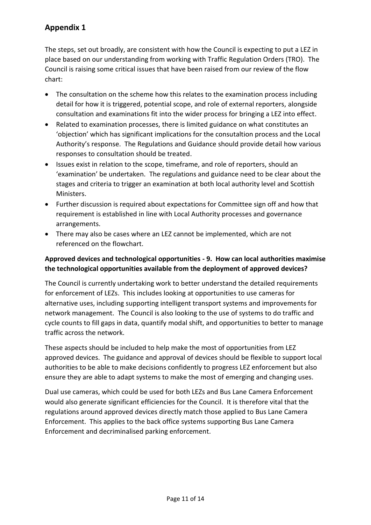The steps, set out broadly, are consistent with how the Council is expecting to put a LEZ in place based on our understanding from working with Traffic Regulation Orders (TRO). The Council is raising some critical issues that have been raised from our review of the flow chart:

- The consultation on the scheme how this relates to the examination process including detail for how it is triggered, potential scope, and role of external reporters, alongside consultation and examinations fit into the wider process for bringing a LEZ into effect.
- Related to examination processes, there is limited guidance on what constitutes an 'objection' which has significant implications for the consutaltion process and the Local Authority's response. The Regulations and Guidance should provide detail how various responses to consultation should be treated.
- Issues exist in relation to the scope, timeframe, and role of reporters, should an 'examination' be undertaken. The regulations and guidance need to be clear about the stages and criteria to trigger an examination at both local authority level and Scottish Ministers.
- Further discussion is required about expectations for Committee sign off and how that requirement is established in line with Local Authority processes and governance arrangements.
- There may also be cases where an LEZ cannot be implemented, which are not referenced on the flowchart.

#### **Approved devices and technological opportunities - 9. How can local authorities maximise the technological opportunities available from the deployment of approved devices?**

The Council is currently undertaking work to better understand the detailed requirements for enforcement of LEZs. This includes looking at opportunities to use cameras for alternative uses, including supporting intelligent transport systems and improvements for network management. The Council is also looking to the use of systems to do traffic and cycle counts to fill gaps in data, quantify modal shift, and opportunities to better to manage traffic across the network.

These aspects should be included to help make the most of opportunities from LEZ approved devices. The guidance and approval of devices should be flexible to support local authorities to be able to make decisions confidently to progress LEZ enforcement but also ensure they are able to adapt systems to make the most of emerging and changing uses.

Dual use cameras, which could be used for both LEZs and Bus Lane Camera Enforcement would also generate significant efficiencies for the Council. It is therefore vital that the regulations around approved devices directly match those applied to Bus Lane Camera Enforcement. This applies to the back office systems supporting Bus Lane Camera Enforcement and decriminalised parking enforcement.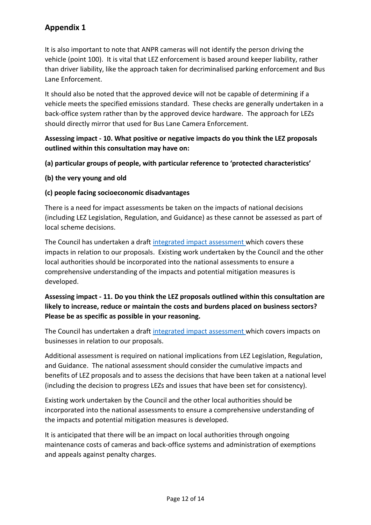It is also important to note that ANPR cameras will not identify the person driving the vehicle (point 100). It is vital that LEZ enforcement is based around keeper liability, rather than driver liability, like the approach taken for decriminalised parking enforcement and Bus Lane Enforcement.

It should also be noted that the approved device will not be capable of determining if a vehicle meets the specified emissions standard. These checks are generally undertaken in a back-office system rather than by the approved device hardware. The approach for LEZs should directly mirror that used for Bus Lane Camera Enforcement.

#### **Assessing impact - 10. What positive or negative impacts do you think the LEZ proposals outlined within this consultation may have on:**

**(a) particular groups of people, with particular reference to 'protected characteristics'**

#### **(b) the very young and old**

#### **(c) people facing socioeconomic disadvantages**

There is a need for impact assessments be taken on the impacts of national decisions (including LEZ Legislation, Regulation, and Guidance) as these cannot be assessed as part of local scheme decisions.

The Council has undertaken a draft [integrated impact assessment w](https://democracy.edinburgh.gov.uk/documents/s9502/Item%207.5%20-%20LEZ%20update%20with%20apps.pdf)hich covers these impacts in relation to our proposals. Existing work undertaken by the Council and the other local authorities should be incorporated into the national assessments to ensure a comprehensive understanding of the impacts and potential mitigation measures is developed.

#### **Assessing impact - 11. Do you think the LEZ proposals outlined within this consultation are likely to increase, reduce or maintain the costs and burdens placed on business sectors? Please be as specific as possible in your reasoning.**

The Council has undertaken a draft [integrated impact assessment w](https://democracy.edinburgh.gov.uk/documents/s9502/Item%207.5%20-%20LEZ%20update%20with%20apps.pdf)hich covers impacts on businesses in relation to our proposals.

Additional assessment is required on national implications from LEZ Legislation, Regulation, and Guidance. The national assessment should consider the cumulative impacts and benefits of LEZ proposals and to assess the decisions that have been taken at a national level (including the decision to progress LEZs and issues that have been set for consistency).

Existing work undertaken by the Council and the other local authorities should be incorporated into the national assessments to ensure a comprehensive understanding of the impacts and potential mitigation measures is developed.

It is anticipated that there will be an impact on local authorities through ongoing maintenance costs of cameras and back-office systems and administration of exemptions and appeals against penalty charges.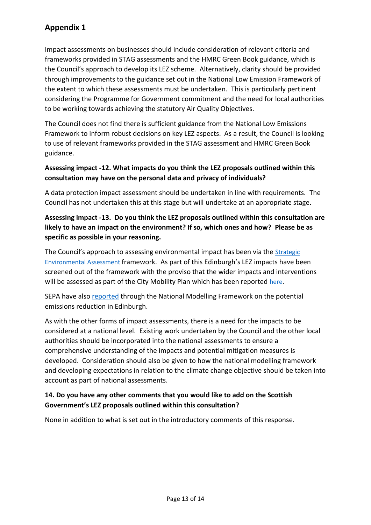Impact assessments on businesses should include consideration of relevant criteria and frameworks provided in STAG assessments and the HMRC Green Book guidance, which is the Council's approach to develop its LEZ scheme. Alternatively, clarity should be provided through improvements to the guidance set out in the National Low Emission Framework of the extent to which these assessments must be undertaken. This is particularly pertinent considering the Programme for Government commitment and the need for local authorities to be working towards achieving the statutory Air Quality Objectives.

The Council does not find there is sufficient guidance from the National Low Emissions Framework to inform robust decisions on key LEZ aspects. As a result, the Council is looking to use of relevant frameworks provided in the STAG assessment and HMRC Green Book guidance.

#### **Assessing impact -12. What impacts do you think the LEZ proposals outlined within this consultation may have on the personal data and privacy of individuals?**

A data protection impact assessment should be undertaken in line with requirements. The Council has not undertaken this at this stage but will undertake at an appropriate stage.

#### **Assessing impact -13. Do you think the LEZ proposals outlined within this consultation are likely to have an impact on the environment? If so, which ones and how? Please be as specific as possible in your reasoning.**

The Council's approach to assessing environmental impact has been via the [Strategic](https://www.gov.scot/policies/environmental-assessment/strategic-environmental-assessment-sea/)  [Environmental Assessment](https://www.gov.scot/policies/environmental-assessment/strategic-environmental-assessment-sea/) framework. As part of this Edinburgh's LEZ impacts have been screened out of the framework with the proviso that the wider impacts and interventions will be assessed as part of the City Mobility Plan which has been reported [here.](https://consultationhub.edinburgh.gov.uk/sfc/city-mobility-plan/supporting_documents/Final%20Draft%20Edinburgh%20City%20Mobility%20Plan%20SEA%20Environmental%20Report%20and%20Appendicies.pdf)

SEPA have als[o reported](https://www.connectingedinburgh.com/downloads/file/3/air-quality-evidence-report-edinburgh) through the National Modelling Framework on the potential emissions reduction in Edinburgh.

As with the other forms of impact assessments, there is a need for the impacts to be considered at a national level. Existing work undertaken by the Council and the other local authorities should be incorporated into the national assessments to ensure a comprehensive understanding of the impacts and potential mitigation measures is developed. Consideration should also be given to how the national modelling framework and developing expectations in relation to the climate change objective should be taken into account as part of national assessments.

#### **14. Do you have any other comments that you would like to add on the Scottish Government's LEZ proposals outlined within this consultation?**

None in addition to what is set out in the introductory comments of this response.